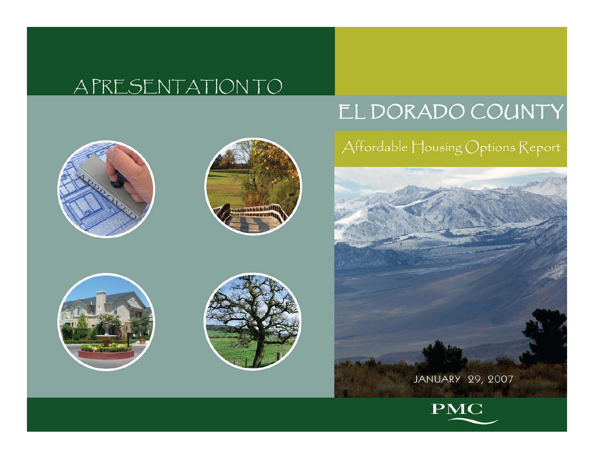#### APRESENTATION TO

#### EL DORADO COUNTY



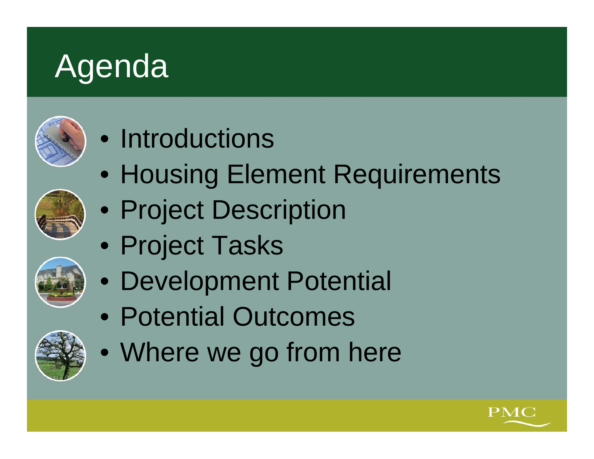# Agenda



### • Introductions

- Housing Element Requirements
- Project Description
- Project Tasks
- Development Potential
- Potential Outcomes
- Where we go from here



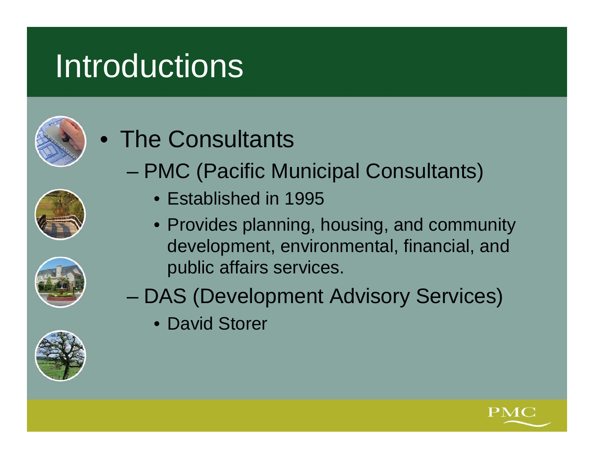## **Introductions**





- PMC (Pacific Municipal Consultants)
	- Established in 1995
	- Provides planning, housing, and community development, environmental, financial, and public affairs services.
- DAS (Development Advisory Services)
	- David Storer



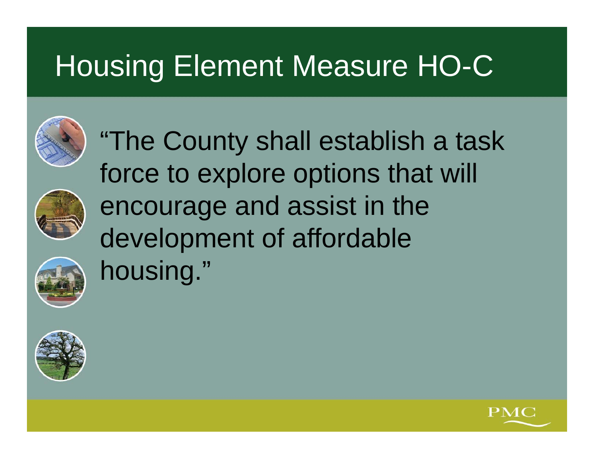



"The County shall establish a task force to explore options that will encourage and assist in the development of affordable housing."



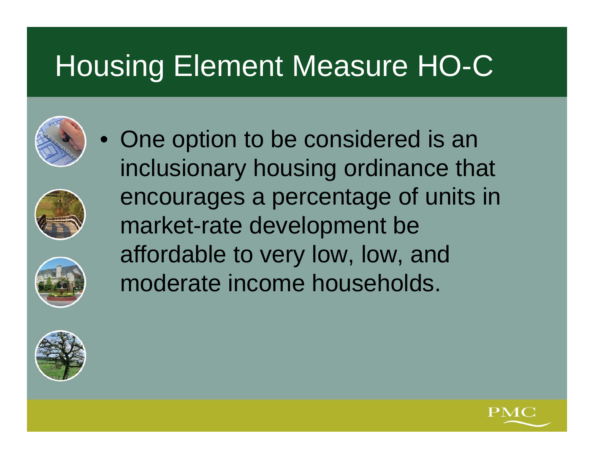









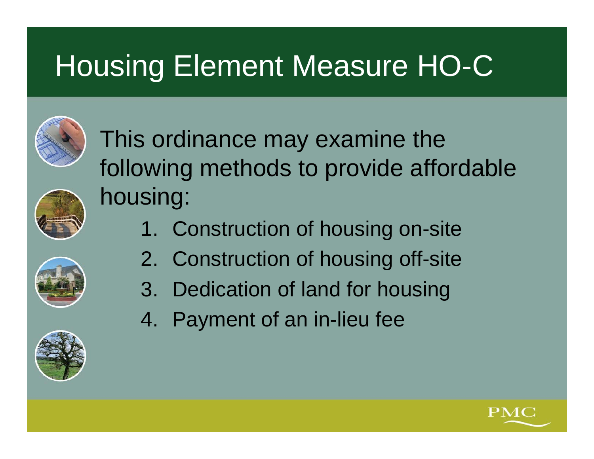

This ordinance may examine the following methods to provide affordable housing:

- 1. Construction of housing on-site
- 2. Construction of housing off-site
- 3. Dedication of land for housing
- 4. Payment of an in-lieu fee



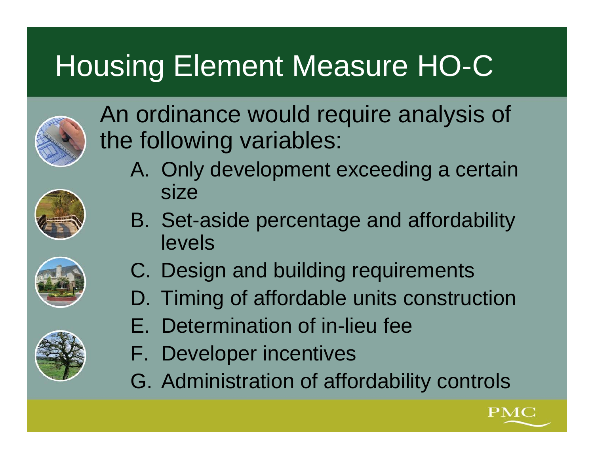

An ordinance would require analysis of the following variables:

A. Only development exceeding a certain size



- C. Design and building requirements
	- D. Timing of affordable units construction
- 
- E. Determination of in-lieu fee
- F. Developer incentives
- G. Administration of affordability controls

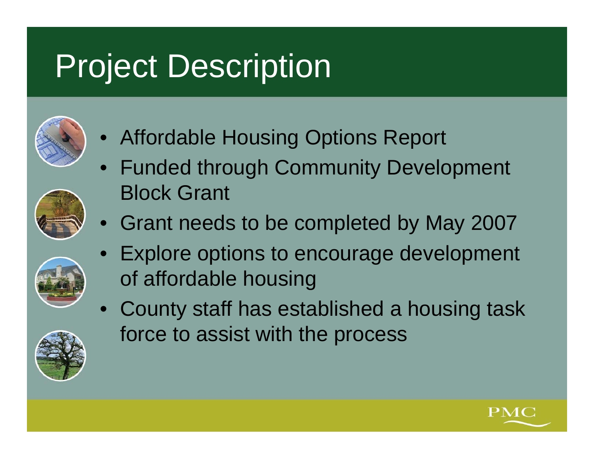# Project Description



- $\bullet$ Affordable Housing Options Report
- $\bullet$  Funded through Community Development Block Grant
- Grant needs to be completed by May 2007



• County staff has established a housing task force to assist with the process



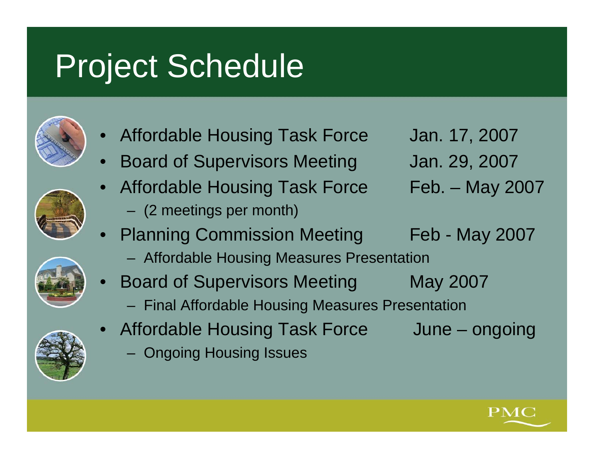## Project Schedule





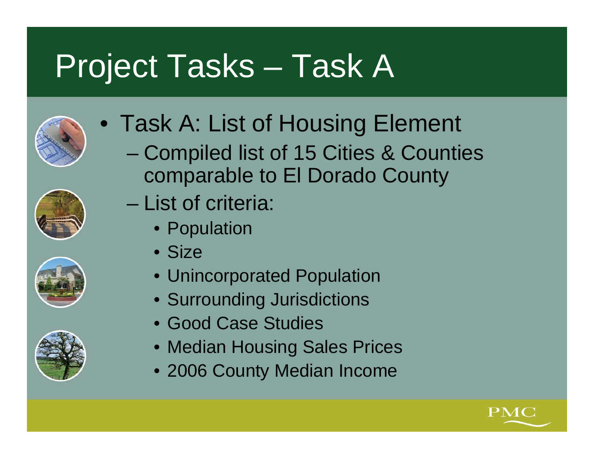# Project Tasks – Task A





– Compiled list of 15 Cities & Counties comparable to El Dorado County







- List of criteria:
	- Population
	- Size
	- Unincorporated Population
	- Surrounding Jurisdictions
	- Good Case Studies
	- Median Housing Sales Prices
	- 2006 County Median Income

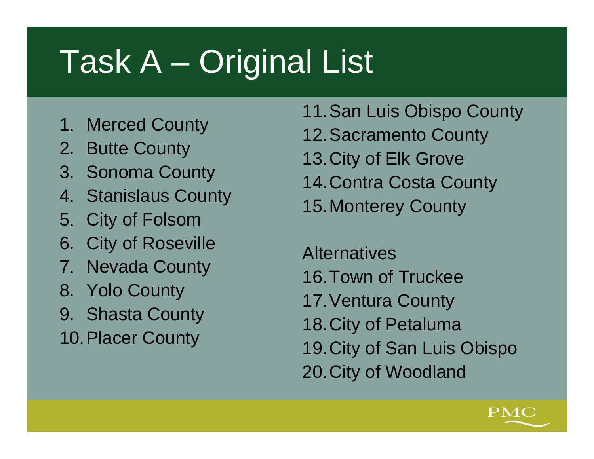# Task A – Original List

- 1. Merced County
- 2. Butte County
- 3. Sonoma County
- 4. Stanislaus County
- 5. City of Folsom
- 6. City of Roseville
- 7. Nevada County
- 8. Yolo County
- 9. Shasta County
- 10.Placer County
- 11.San Luis Obispo County
- 12.Sacramento County
- 13.City of Elk Grove
- 14.Contra Costa County
- 15.Monterey County

**Alternatives** 16.Town of Truckee17.Ventura County 18.City of Petaluma 19.City of San Luis Obispo 20.City of Woodland

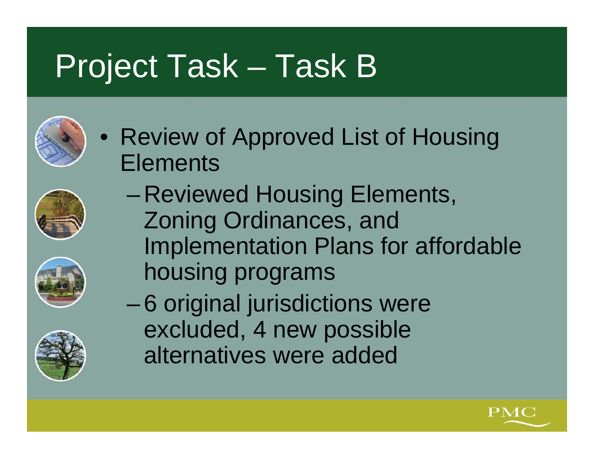# Project Task – Task B

• Review of Approved List of Housing **Elements** 







- Reviewed Housing Elements, Zoning Ordinances, and Implementation Plans for affordable housing programs
- – 6 original jurisdictions were excluded, 4 new possible alternatives were added

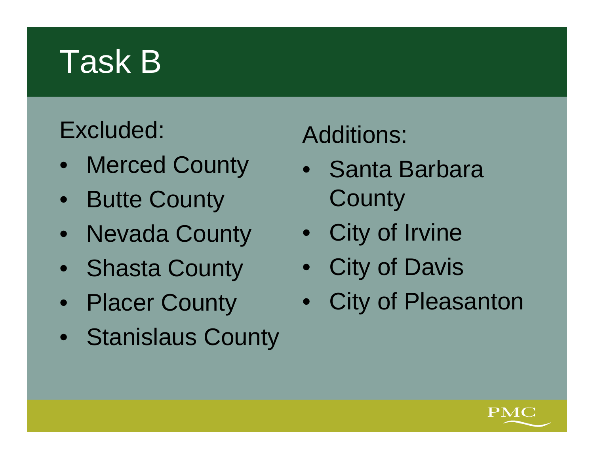# Task B

#### Excluded:

- Merced County
- Butte County
- Nevada County
- Shasta County
- Placer County
- Stanislaus County

#### Additions:

- Santa Barbara **County**
- City of Irvine
- City of Davis
- City of Pleasanton

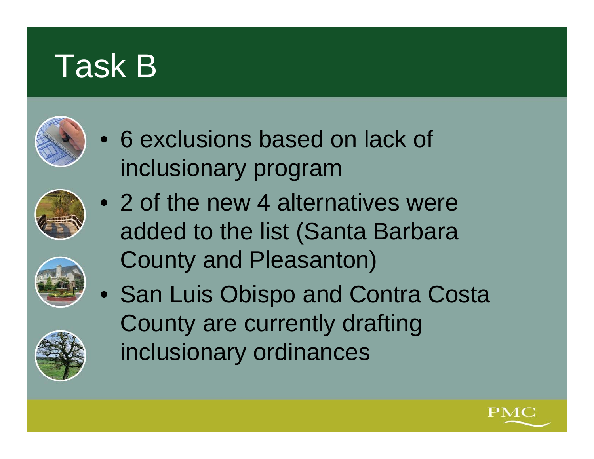## Task B



- 6 exclusions based on lack of inclusionary program
- 2 of the new 4 alternatives were added to the list (Santa Barbara County and Pleasanton)
- San Luis Obispo and Contra Costa County are currently drafting inclusionary ordinances



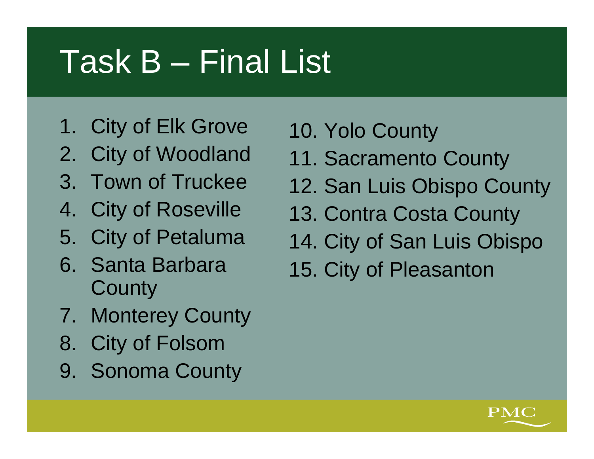# Task B – Final List

- 1. City of Elk Grove
- 2. City of Woodland
- 3. Town of Truckee
- 4. City of Roseville
- 5. City of Petaluma
- 6. Santa Barbara **County**
- 7. Monterey County
- 8. City of Folsom
- 9. Sonoma County
- 10. Yolo County
- 11. Sacramento County
- 12. San Luis Obispo County
- 13. Contra Costa County
- 14. City of San Luis Obispo
- 15. City of Pleasanton

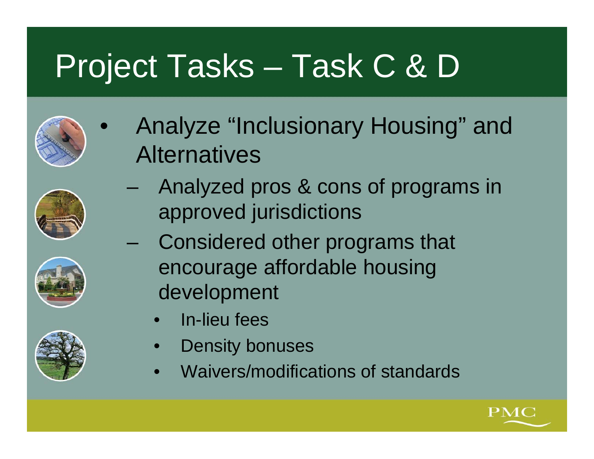# Project Tasks – Task C & D

- $\bullet$  Analyze "Inclusionary Housing" and **Alternatives**
- 





- Analyzed pros & cons of programs in approved jurisdictions
- Considered other programs that encourage affordable housing development
	- •In-lieu fees
	- •Density bonuses
	- •Waivers/modifications of standards

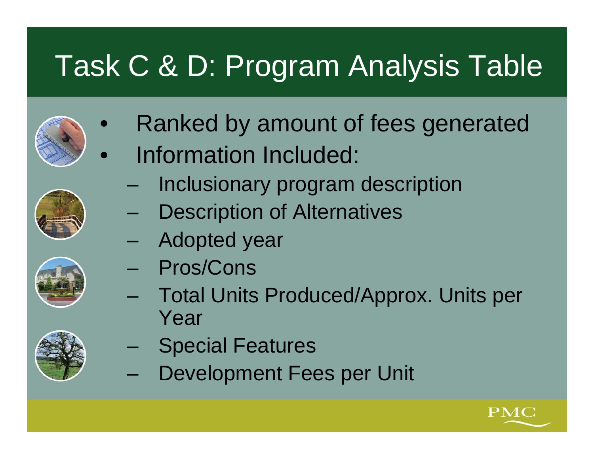## Task C & D: Program Analysis Table

- $\bullet$ Ranked by amount of fees generated
- $\bullet$  Information Included:
	- Inclusionary program description
	- Description of Alternatives
	- Adopted year
	- Pros/Cons
	- Total Units Produced/Approx. Units per Year
	- Special Features
	- Development Fees per Unit





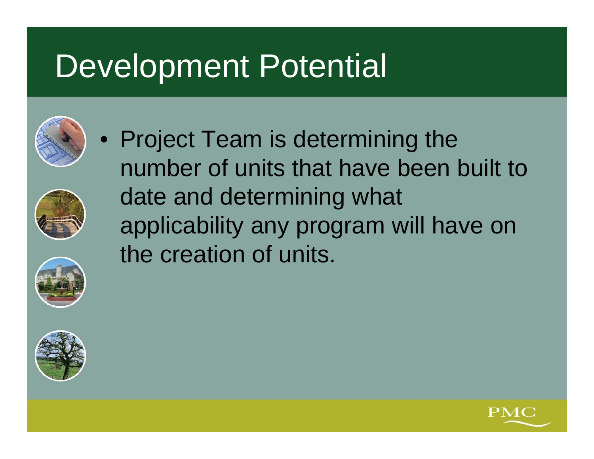## Development Potential











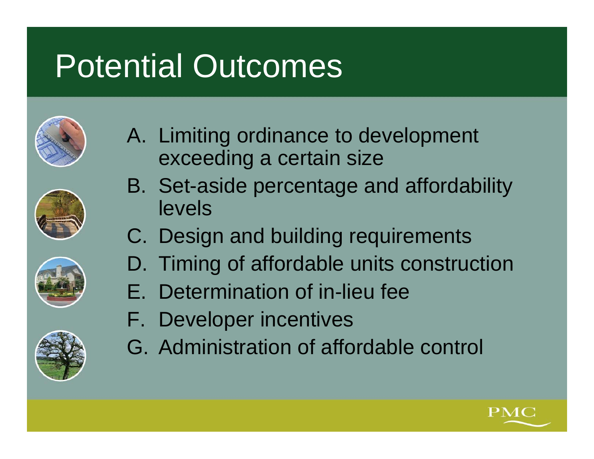# Potential Outcomes





- C. Design and building requirements
- D. Timing of affordable units construction
- E. Determination of in-lieu fee
- F. Developer incentives
- G. Administration of affordable control